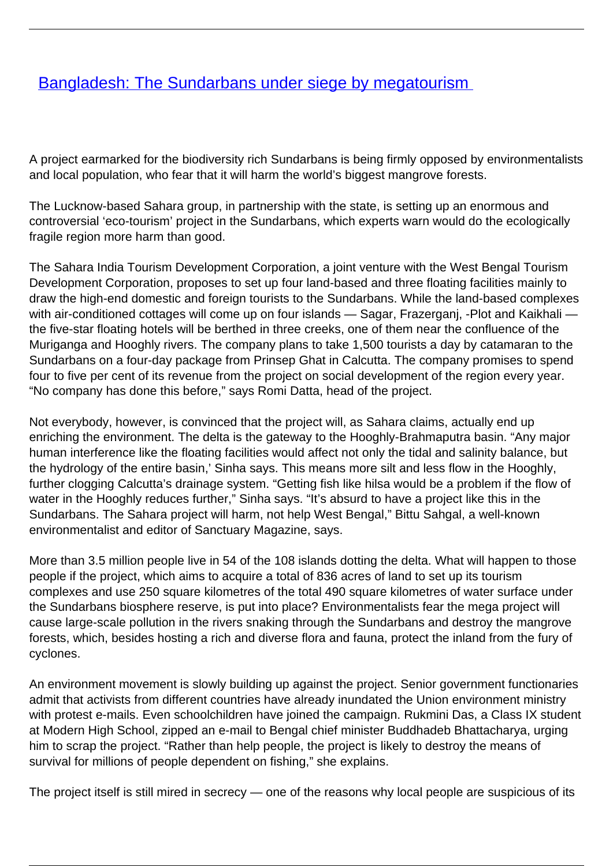## **[Bangladesh: The Sundarbans under siege by megatourism](/bulletin-articles/bangladesh-the-sundarbans-under-siege-by-megatourism)**

A project earmarked for the biodiversity rich Sundarbans is being firmly opposed by environmentalists and local population, who fear that it will harm the world's biggest mangrove forests.

The Lucknow-based Sahara group, in partnership with the state, is setting up an enormous and controversial 'eco-tourism' project in the Sundarbans, which experts warn would do the ecologically fragile region more harm than good.

The Sahara India Tourism Development Corporation, a joint venture with the West Bengal Tourism Development Corporation, proposes to set up four land-based and three floating facilities mainly to draw the high-end domestic and foreign tourists to the Sundarbans. While the land-based complexes with air-conditioned cottages will come up on four islands - Sagar, Frazerganj, -Plot and Kaikhali the five-star floating hotels will be berthed in three creeks, one of them near the confluence of the Muriganga and Hooghly rivers. The company plans to take 1,500 tourists a day by catamaran to the Sundarbans on a four-day package from Prinsep Ghat in Calcutta. The company promises to spend four to five per cent of its revenue from the project on social development of the region every year. "No company has done this before," says Romi Datta, head of the project.

Not everybody, however, is convinced that the project will, as Sahara claims, actually end up enriching the environment. The delta is the gateway to the Hooghly-Brahmaputra basin. "Any major human interference like the floating facilities would affect not only the tidal and salinity balance, but the hydrology of the entire basin,' Sinha says. This means more silt and less flow in the Hooghly, further clogging Calcutta's drainage system. "Getting fish like hilsa would be a problem if the flow of water in the Hooghly reduces further," Sinha says. "It's absurd to have a project like this in the Sundarbans. The Sahara project will harm, not help West Bengal," Bittu Sahgal, a well-known environmentalist and editor of Sanctuary Magazine, says.

More than 3.5 million people live in 54 of the 108 islands dotting the delta. What will happen to those people if the project, which aims to acquire a total of 836 acres of land to set up its tourism complexes and use 250 square kilometres of the total 490 square kilometres of water surface under the Sundarbans biosphere reserve, is put into place? Environmentalists fear the mega project will cause large-scale pollution in the rivers snaking through the Sundarbans and destroy the mangrove forests, which, besides hosting a rich and diverse flora and fauna, protect the inland from the fury of cyclones.

An environment movement is slowly building up against the project. Senior government functionaries admit that activists from different countries have already inundated the Union environment ministry with protest e-mails. Even schoolchildren have joined the campaign. Rukmini Das, a Class IX student at Modern High School, zipped an e-mail to Bengal chief minister Buddhadeb Bhattacharya, urging him to scrap the project. "Rather than help people, the project is likely to destroy the means of survival for millions of people dependent on fishing," she explains.

The project itself is still mired in secrecy — one of the reasons why local people are suspicious of its